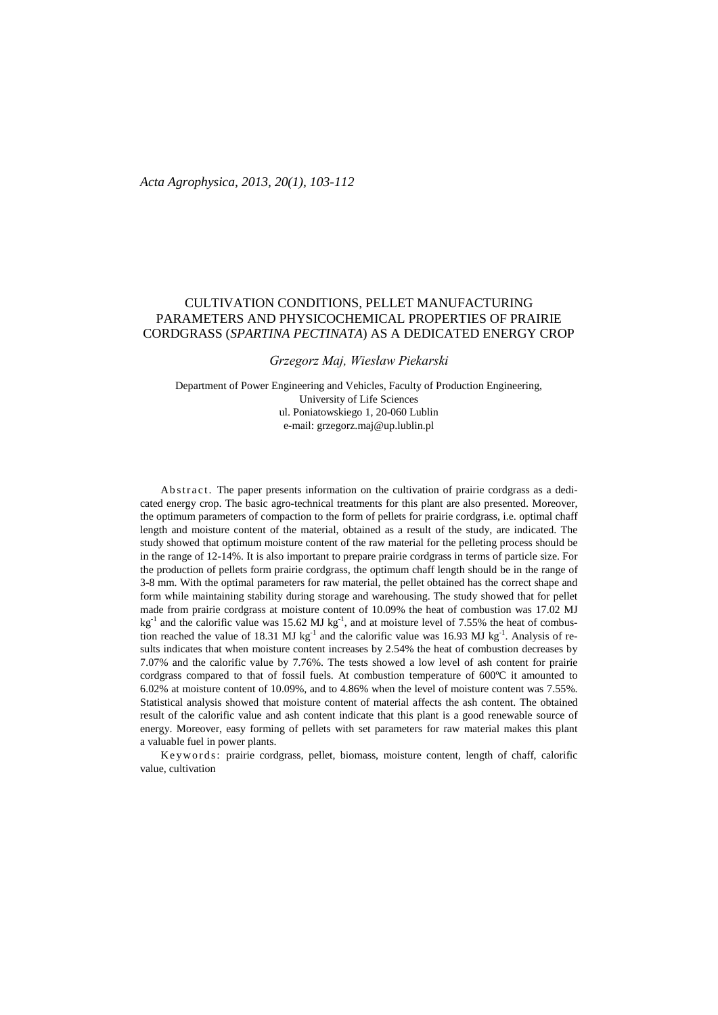# CULTIVATION CONDITIONS, PELLET MANUFACTURING PARAMETERS AND PHYSICOCHEMICAL PROPERTIES OF PRAIRIE CORDGRASS (*SPARTINA PECTINATA*) AS A DEDICATED ENERGY CROP

# *Grzegorz Maj, Wiesław Piekarski*

Department of Power Engineering and Vehicles, Faculty of Production Engineering, University of Life Sciences ul. Poniatowskiego 1, 20-060 Lublin e-mail: grzegorz.maj@up.lublin.pl

Abstract. The paper presents information on the cultivation of prairie cordgrass as a dedicated energy crop. The basic agro-technical treatments for this plant are also presented. Moreover, the optimum parameters of compaction to the form of pellets for prairie cordgrass, i.e. optimal chaff length and moisture content of the material, obtained as a result of the study, are indicated. The study showed that optimum moisture content of the raw material for the pelleting process should be in the range of 12-14%. It is also important to prepare prairie cordgrass in terms of particle size. For the production of pellets form prairie cordgrass, the optimum chaff length should be in the range of 3-8 mm. With the optimal parameters for raw material, the pellet obtained has the correct shape and form while maintaining stability during storage and warehousing. The study showed that for pellet made from prairie cordgrass at moisture content of 10.09% the heat of combustion was 17.02 MJ  $kg^{-1}$  and the calorific value was 15.62 MJ kg<sup>-1</sup>, and at moisture level of 7.55% the heat of combustion reached the value of 18.31 MJ kg<sup>-1</sup> and the calorific value was 16.93 MJ kg<sup>-1</sup>. Analysis of results indicates that when moisture content increases by 2.54% the heat of combustion decreases by 7.07% and the calorific value by 7.76%. The tests showed a low level of ash content for prairie cordgrass compared to that of fossil fuels. At combustion temperature of 600ºC it amounted to 6.02% at moisture content of 10.09%, and to 4.86% when the level of moisture content was 7.55%. Statistical analysis showed that moisture content of material affects the ash content. The obtained result of the calorific value and ash content indicate that this plant is a good renewable source of energy. Moreover, easy forming of pellets with set parameters for raw material makes this plant a valuable fuel in power plants.

Keywords: prairie cordgrass, pellet, biomass, moisture content, length of chaff, calorific value, cultivation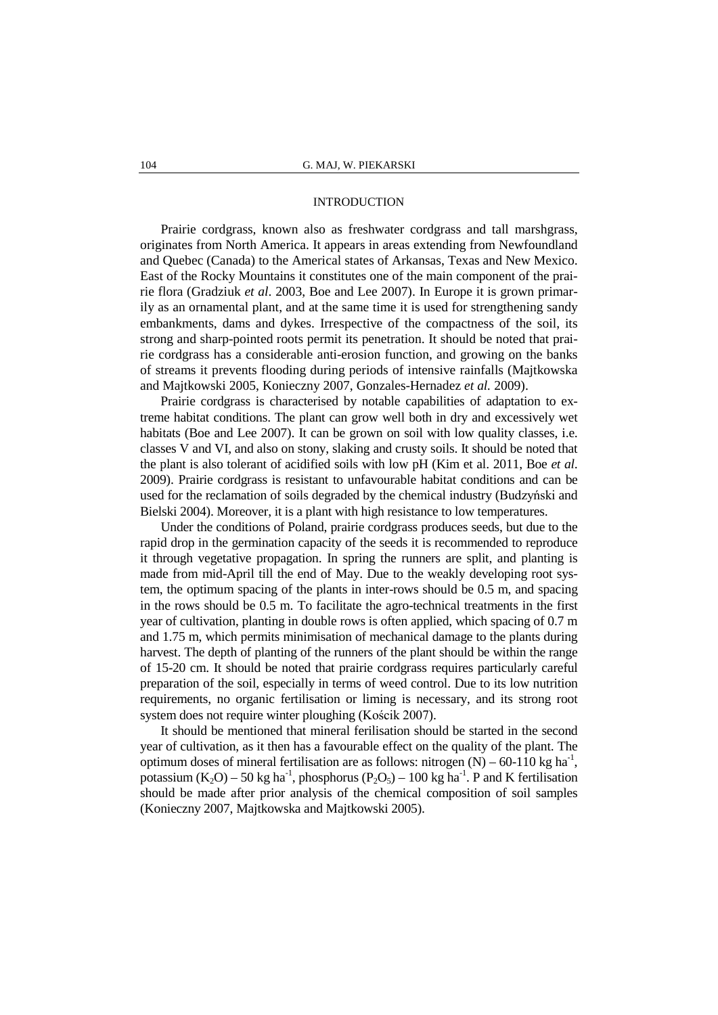## INTRODUCTION

Prairie cordgrass, known also as freshwater cordgrass and tall marshgrass, originates from North America. It appears in areas extending from Newfoundland and Quebec (Canada) to the Americal states of Arkansas, Texas and New Mexico. East of the Rocky Mountains it constitutes one of the main component of the prairie flora (Gradziuk *et al*. 2003, Boe and Lee 2007). In Europe it is grown primarily as an ornamental plant, and at the same time it is used for strengthening sandy embankments, dams and dykes. Irrespective of the compactness of the soil, its strong and sharp-pointed roots permit its penetration. It should be noted that prairie cordgrass has a considerable anti-erosion function, and growing on the banks of streams it prevents flooding during periods of intensive rainfalls (Majtkowska and Majtkowski 2005, Konieczny 2007, Gonzales-Hernadez *et al.* 2009).

Prairie cordgrass is characterised by notable capabilities of adaptation to extreme habitat conditions. The plant can grow well both in dry and excessively wet habitats (Boe and Lee 2007). It can be grown on soil with low quality classes, i.e. classes V and VI, and also on stony, slaking and crusty soils. It should be noted that the plant is also tolerant of acidified soils with low pH (Kim et al. 2011, Boe *et al*. 2009). Prairie cordgrass is resistant to unfavourable habitat conditions and can be used for the reclamation of soils degraded by the chemical industry (Budzyński and Bielski 2004). Moreover, it is a plant with high resistance to low temperatures.

Under the conditions of Poland, prairie cordgrass produces seeds, but due to the rapid drop in the germination capacity of the seeds it is recommended to reproduce it through vegetative propagation. In spring the runners are split, and planting is made from mid-April till the end of May. Due to the weakly developing root system, the optimum spacing of the plants in inter-rows should be 0.5 m, and spacing in the rows should be 0.5 m. To facilitate the agro-technical treatments in the first year of cultivation, planting in double rows is often applied, which spacing of 0.7 m and 1.75 m, which permits minimisation of mechanical damage to the plants during harvest. The depth of planting of the runners of the plant should be within the range of 15-20 cm. It should be noted that prairie cordgrass requires particularly careful preparation of the soil, especially in terms of weed control. Due to its low nutrition requirements, no organic fertilisation or liming is necessary, and its strong root system does not require winter ploughing (Kościk 2007).

It should be mentioned that mineral ferilisation should be started in the second year of cultivation, as it then has a favourable effect on the quality of the plant. The optimum doses of mineral fertilisation are as follows: nitrogen  $(N) - 60 - 110$  kg ha<sup>-1</sup>, potassium  $(K_2O) - 50$  kg ha<sup>-1</sup>, phosphorus  $(P_2O_5) - 100$  kg ha<sup>-1</sup>. P and K fertilisation should be made after prior analysis of the chemical composition of soil samples (Konieczny 2007, Majtkowska and Majtkowski 2005).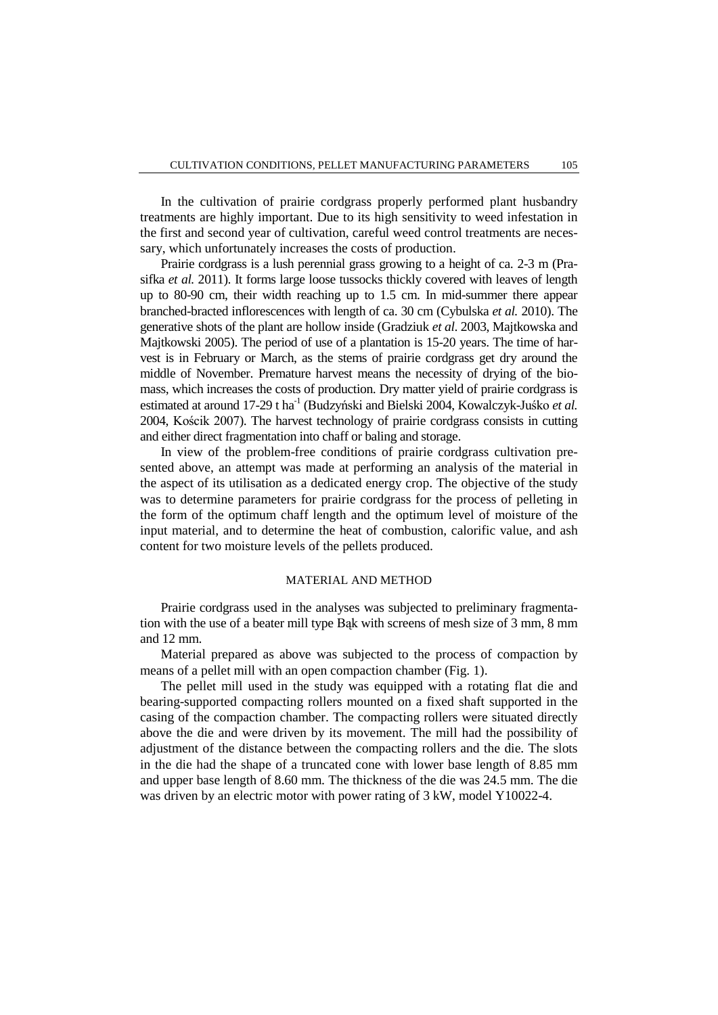In the cultivation of prairie cordgrass properly performed plant husbandry treatments are highly important. Due to its high sensitivity to weed infestation in the first and second year of cultivation, careful weed control treatments are necessary, which unfortunately increases the costs of production.

Prairie cordgrass is a lush perennial grass growing to a height of ca. 2-3 m (Prasifka *et al.* 2011). It forms large loose tussocks thickly covered with leaves of length up to 80-90 cm, their width reaching up to 1.5 cm. In mid-summer there appear branched-bracted inflorescences with length of ca. 30 cm (Cybulska *et al.* 2010). The generative shots of the plant are hollow inside (Gradziuk *et al*. 2003, Majtkowska and Majtkowski 2005). The period of use of a plantation is 15-20 years. The time of harvest is in February or March, as the stems of prairie cordgrass get dry around the middle of November. Premature harvest means the necessity of drying of the biomass, which increases the costs of production. Dry matter yield of prairie cordgrass is estimated at around 17-29 t ha<sup>-1</sup> (Budzyński and Bielski 2004, Kowalczyk-Juśko *et al.*) 2004, Kościk 2007). The harvest technology of prairie cordgrass consists in cutting and either direct fragmentation into chaff or baling and storage.

In view of the problem-free conditions of prairie cordgrass cultivation presented above, an attempt was made at performing an analysis of the material in the aspect of its utilisation as a dedicated energy crop. The objective of the study was to determine parameters for prairie cordgrass for the process of pelleting in the form of the optimum chaff length and the optimum level of moisture of the input material, and to determine the heat of combustion, calorific value, and ash content for two moisture levels of the pellets produced.

# MATERIAL AND METHOD

Prairie cordgrass used in the analyses was subjected to preliminary fragmentation with the use of a beater mill type Bąk with screens of mesh size of 3 mm, 8 mm and 12 mm.

Material prepared as above was subjected to the process of compaction by means of a pellet mill with an open compaction chamber (Fig. 1).

The pellet mill used in the study was equipped with a rotating flat die and bearing-supported compacting rollers mounted on a fixed shaft supported in the casing of the compaction chamber. The compacting rollers were situated directly above the die and were driven by its movement. The mill had the possibility of adjustment of the distance between the compacting rollers and the die. The slots in the die had the shape of a truncated cone with lower base length of 8.85 mm and upper base length of 8.60 mm. The thickness of the die was 24.5 mm. The die was driven by an electric motor with power rating of 3 kW, model Y10022-4.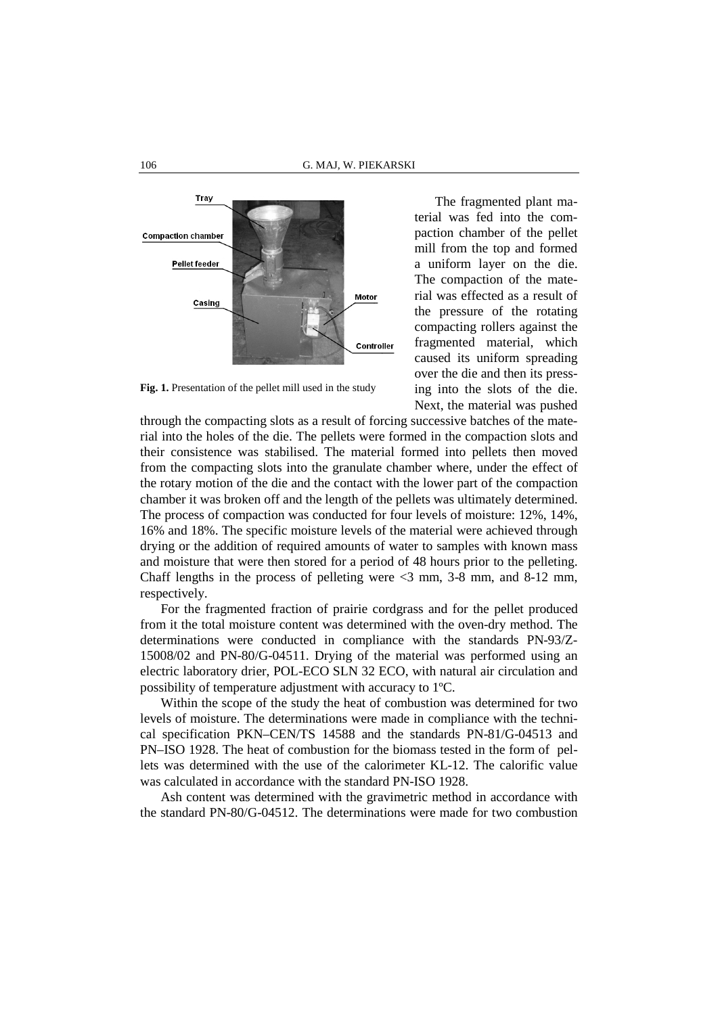

Fig. 1. Presentation of the pellet mill used in the study

The fragmented plant material was fed into the compaction chamber of the pellet mill from the top and formed a uniform layer on the die. The compaction of the material was effected as a result of the pressure of the rotating compacting rollers against the fragmented material, which caused its uniform spreading over the die and then its pressing into the slots of the die. Next, the material was pushed

through the compacting slots as a result of forcing successive batches of the material into the holes of the die. The pellets were formed in the compaction slots and their consistence was stabilised. The material formed into pellets then moved from the compacting slots into the granulate chamber where, under the effect of the rotary motion of the die and the contact with the lower part of the compaction chamber it was broken off and the length of the pellets was ultimately determined. The process of compaction was conducted for four levels of moisture: 12%, 14%, 16% and 18%. The specific moisture levels of the material were achieved through drying or the addition of required amounts of water to samples with known mass and moisture that were then stored for a period of 48 hours prior to the pelleting. Chaff lengths in the process of pelleting were <3 mm, 3-8 mm, and 8-12 mm, respectively.

For the fragmented fraction of prairie cordgrass and for the pellet produced from it the total moisture content was determined with the oven-dry method. The determinations were conducted in compliance with the standards PN-93/Z-15008/02 and PN-80/G-04511. Drying of the material was performed using an electric laboratory drier, POL-ECO SLN 32 ECO, with natural air circulation and possibility of temperature adjustment with accuracy to 1ºC.

Within the scope of the study the heat of combustion was determined for two levels of moisture. The determinations were made in compliance with the technical specification PKN–CEN/TS 14588 and the standards PN-81/G-04513 and PN–ISO 1928. The heat of combustion for the biomass tested in the form of pellets was determined with the use of the calorimeter KL-12. The calorific value was calculated in accordance with the standard PN-ISO 1928.

Ash content was determined with the gravimetric method in accordance with the standard PN-80/G-04512. The determinations were made for two combustion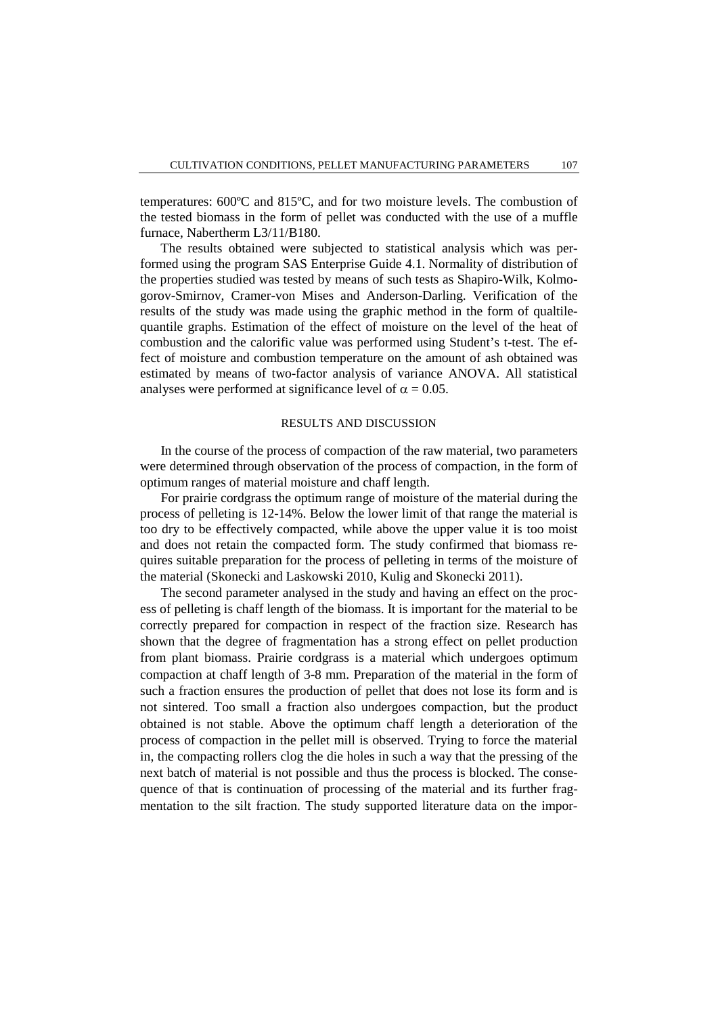temperatures: 600ºC and 815ºC, and for two moisture levels. The combustion of the tested biomass in the form of pellet was conducted with the use of a muffle furnace, Nabertherm L3/11/B180.

The results obtained were subjected to statistical analysis which was performed using the program SAS Enterprise Guide 4.1. Normality of distribution of the properties studied was tested by means of such tests as Shapiro-Wilk, Kolmogorov-Smirnov, Cramer-von Mises and Anderson-Darling. Verification of the results of the study was made using the graphic method in the form of qualtilequantile graphs. Estimation of the effect of moisture on the level of the heat of combustion and the calorific value was performed using Student's t-test. The effect of moisture and combustion temperature on the amount of ash obtained was estimated by means of two-factor analysis of variance ANOVA. All statistical analyses were performed at significance level of  $\alpha = 0.05$ .

# RESULTS AND DISCUSSION

In the course of the process of compaction of the raw material, two parameters were determined through observation of the process of compaction, in the form of optimum ranges of material moisture and chaff length.

For prairie cordgrass the optimum range of moisture of the material during the process of pelleting is 12-14%. Below the lower limit of that range the material is too dry to be effectively compacted, while above the upper value it is too moist and does not retain the compacted form. The study confirmed that biomass requires suitable preparation for the process of pelleting in terms of the moisture of the material (Skonecki and Laskowski 2010, Kulig and Skonecki 2011).

The second parameter analysed in the study and having an effect on the process of pelleting is chaff length of the biomass. It is important for the material to be correctly prepared for compaction in respect of the fraction size. Research has shown that the degree of fragmentation has a strong effect on pellet production from plant biomass. Prairie cordgrass is a material which undergoes optimum compaction at chaff length of 3-8 mm. Preparation of the material in the form of such a fraction ensures the production of pellet that does not lose its form and is not sintered. Too small a fraction also undergoes compaction, but the product obtained is not stable. Above the optimum chaff length a deterioration of the process of compaction in the pellet mill is observed. Trying to force the material in, the compacting rollers clog the die holes in such a way that the pressing of the next batch of material is not possible and thus the process is blocked. The consequence of that is continuation of processing of the material and its further fragmentation to the silt fraction. The study supported literature data on the impor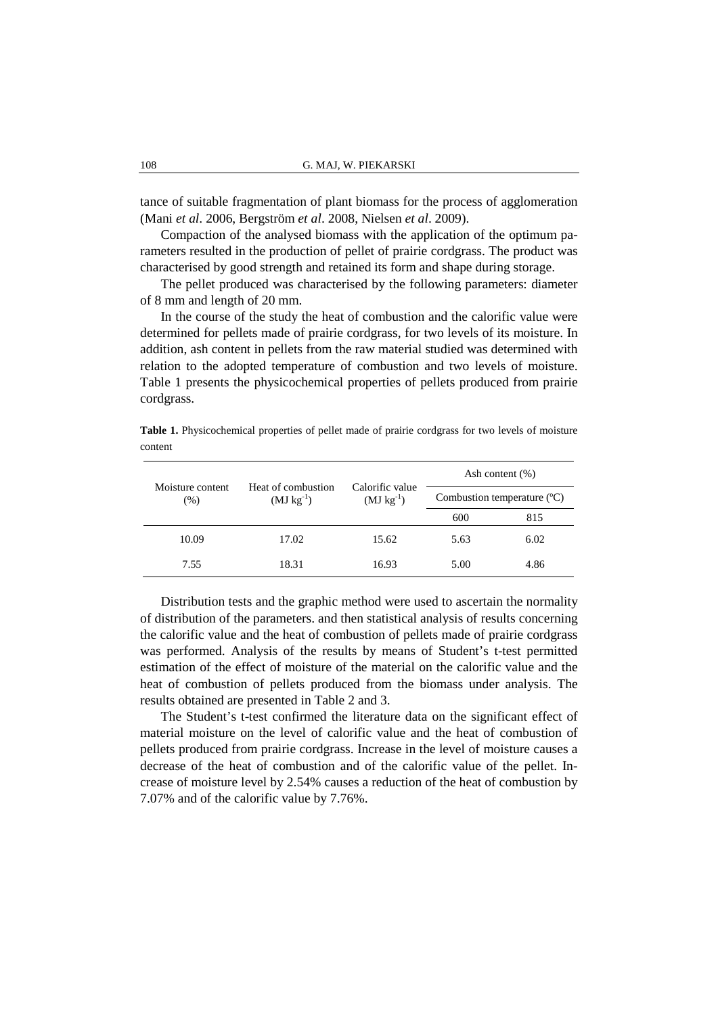tance of suitable fragmentation of plant biomass for the process of agglomeration (Mani *et al*. 2006, Bergström *et al*. 2008, Nielsen *et al*. 2009).

Compaction of the analysed biomass with the application of the optimum parameters resulted in the production of pellet of prairie cordgrass. The product was characterised by good strength and retained its form and shape during storage.

The pellet produced was characterised by the following parameters: diameter of 8 mm and length of 20 mm.

In the course of the study the heat of combustion and the calorific value were determined for pellets made of prairie cordgrass, for two levels of its moisture. In addition, ash content in pellets from the raw material studied was determined with relation to the adopted temperature of combustion and two levels of moisture. Table 1 presents the physicochemical properties of pellets produced from prairie cordgrass.

**Table 1.** Physicochemical properties of pellet made of prairie cordgrass for two levels of moisture content

| Moisture content<br>$(\%)$ | Heat of combustion<br>$(MJ kg^{-1})$ | Calorific value<br>$(MJ kg^{-1})$ | Ash content $(\%)$           |      |  |
|----------------------------|--------------------------------------|-----------------------------------|------------------------------|------|--|
|                            |                                      |                                   | Combustion temperature $(C)$ |      |  |
|                            |                                      |                                   | 600                          | 815  |  |
| 10.09                      | 17.02                                | 15.62                             | 5.63                         | 6.02 |  |
| 7.55                       | 18.31                                | 16.93                             | 5.00                         | 4.86 |  |

Distribution tests and the graphic method were used to ascertain the normality of distribution of the parameters. and then statistical analysis of results concerning the calorific value and the heat of combustion of pellets made of prairie cordgrass was performed. Analysis of the results by means of Student's t-test permitted estimation of the effect of moisture of the material on the calorific value and the heat of combustion of pellets produced from the biomass under analysis. The results obtained are presented in Table 2 and 3.

The Student's t-test confirmed the literature data on the significant effect of material moisture on the level of calorific value and the heat of combustion of pellets produced from prairie cordgrass. Increase in the level of moisture causes a decrease of the heat of combustion and of the calorific value of the pellet. Increase of moisture level by 2.54% causes a reduction of the heat of combustion by 7.07% and of the calorific value by 7.76%.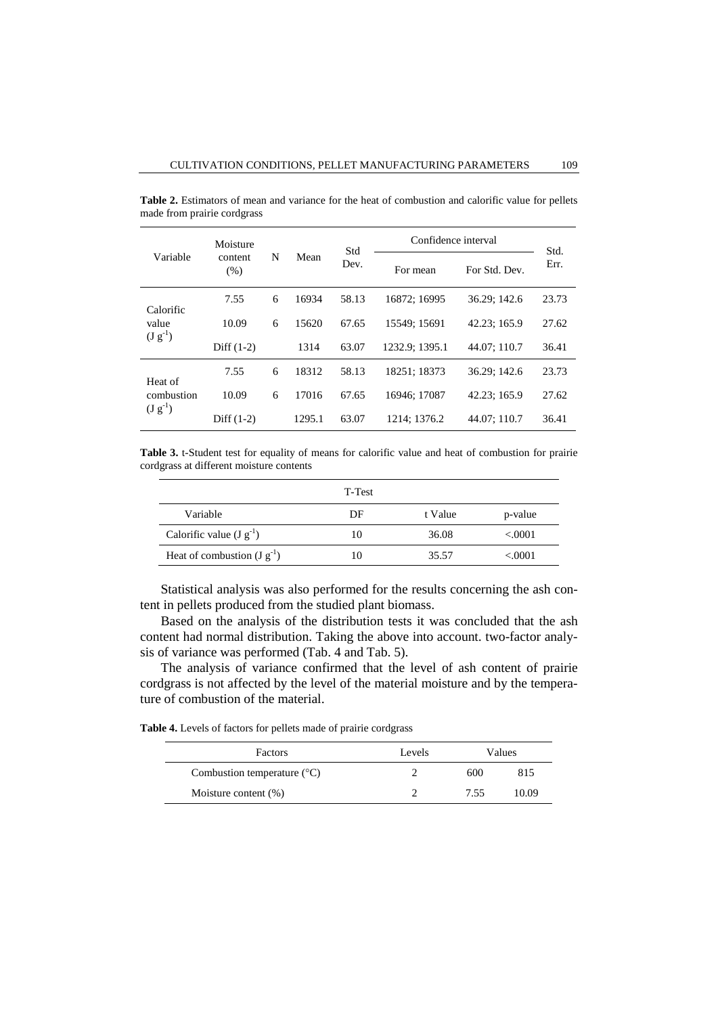| Variable                              | Moisture<br>content<br>(% ) | N | Mean   | Std<br>Dev. | Confidence interval |               | Std.  |
|---------------------------------------|-----------------------------|---|--------|-------------|---------------------|---------------|-------|
|                                       |                             |   |        |             | For mean            | For Std. Dev. | Err.  |
| Calorific<br>value<br>$(J g^{-1})$    | 7.55                        | 6 | 16934  | 58.13       | 16872: 16995        | 36.29; 142.6  | 23.73 |
|                                       | 10.09                       | 6 | 15620  | 67.65       | 15549: 15691        | 42.23; 165.9  | 27.62 |
|                                       | Diff $(1-2)$                |   | 1314   | 63.07       | 1232.9: 1395.1      | 44.07: 110.7  | 36.41 |
| Heat of<br>combustion<br>$(J g^{-1})$ | 7.55                        | 6 | 18312  | 58.13       | 18251: 18373        | 36.29: 142.6  | 23.73 |
|                                       | 10.09                       | 6 | 17016  | 67.65       | 16946: 17087        | 42.23: 165.9  | 27.62 |
|                                       | Diff $(1-2)$                |   | 1295.1 | 63.07       | 1214: 1376.2        | 44.07: 110.7  | 36.41 |

**Table 2.** Estimators of mean and variance for the heat of combustion and calorific value for pellets made from prairie cordgrass

**Table 3.** t-Student test for equality of means for calorific value and heat of combustion for prairie cordgrass at different moisture contents

|                                 | T-Test |         |          |
|---------------------------------|--------|---------|----------|
| Variable                        | DF     | t Value | p-value  |
| Calorific value $(J g^{-1})$    | 10     | 36.08   | < 0.0001 |
| Heat of combustion $(J g^{-1})$ |        | 35.57   | < 0001   |

Statistical analysis was also performed for the results concerning the ash content in pellets produced from the studied plant biomass.

Based on the analysis of the distribution tests it was concluded that the ash content had normal distribution. Taking the above into account. two-factor analysis of variance was performed (Tab. 4 and Tab. 5).

The analysis of variance confirmed that the level of ash content of prairie cordgrass is not affected by the level of the material moisture and by the temperature of combustion of the material.

**Table 4.** Levels of factors for pellets made of prairie cordgrass

| Factors                              | Levels | Values |       |
|--------------------------------------|--------|--------|-------|
| Combustion temperature $(^{\circ}C)$ |        | 600    | 815   |
| Moisture content $(\%)$              |        | 7.55   | 10.09 |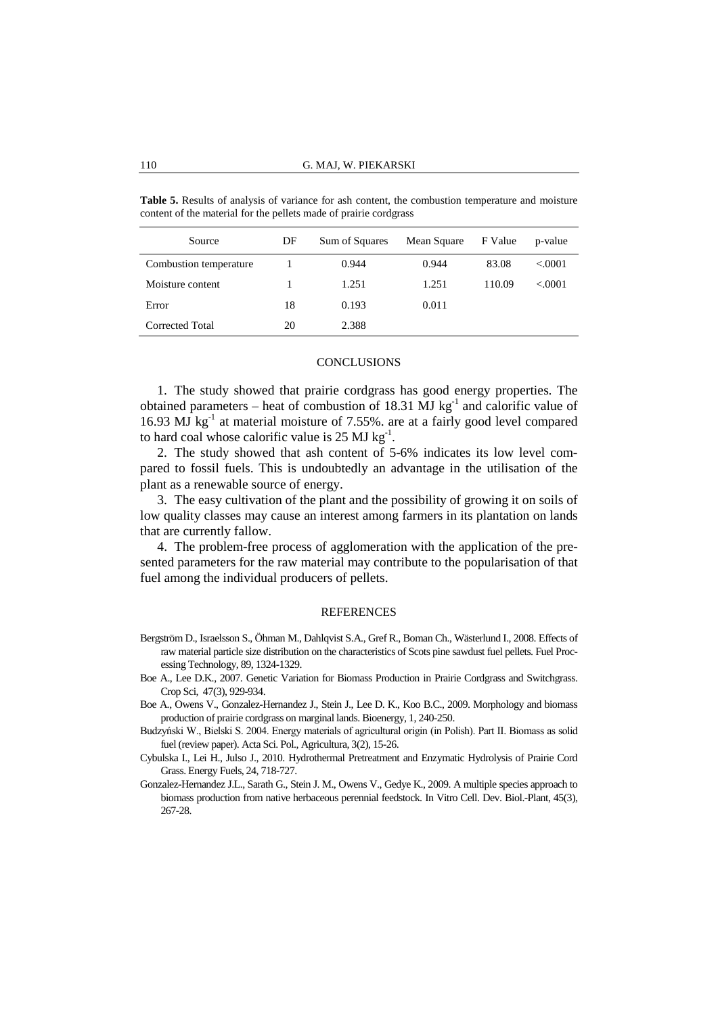| Source                 | DF | Sum of Squares | Mean Square | F Value | p-value |
|------------------------|----|----------------|-------------|---------|---------|
| Combustion temperature |    | 0.944          | 0.944       | 83.08   | < .0001 |
| Moisture content       |    | 1.251          | 1.251       | 110.09  | < 0001  |
| Error                  | 18 | 0.193          | 0.011       |         |         |
| Corrected Total        | 20 | 2.388          |             |         |         |

**Table 5.** Results of analysis of variance for ash content, the combustion temperature and moisture content of the material for the pellets made of prairie cordgrass

#### **CONCLUSIONS**

1. The study showed that prairie cordgrass has good energy properties. The obtained parameters – heat of combustion of 18.31 MJ kg<sup>-1</sup> and calorific value of 16.93  $\overline{MJ}$  kg<sup>-1</sup> at material moisture of 7.55%. are at a fairly good level compared to hard coal whose calorific value is  $25 \text{ MJ kg}^{-1}$ .

2. The study showed that ash content of 5-6% indicates its low level compared to fossil fuels. This is undoubtedly an advantage in the utilisation of the plant as a renewable source of energy.

3. The easy cultivation of the plant and the possibility of growing it on soils of low quality classes may cause an interest among farmers in its plantation on lands that are currently fallow.

4. The problem-free process of agglomeration with the application of the presented parameters for the raw material may contribute to the popularisation of that fuel among the individual producers of pellets.

## **REFERENCES**

- Bergström D., Israelsson S., Öhman M., Dahlqvist S.A., Gref R., Boman Ch., Wästerlund I., 2008. Effects of raw material particle size distribution on the characteristics of Scots pine sawdust fuel pellets. Fuel Processing Technology, 89, 1324-1329.
- Boe A., Lee D.K., 2007. Genetic Variation for Biomass Production in Prairie Cordgrass and Switchgrass. Crop Sci, 47(3), 929-934.
- Boe A., Owens V., Gonzalez-Hernandez J., Stein J., Lee D. K., Koo B.C., 2009. Morphology and biomass production of prairie cordgrass on marginal lands. Bioenergy, 1, 240-250.
- Budzyński W., Bielski S. 2004. Energy materials of agricultural origin (in Polish). Part II. Biomass as solid fuel (review paper). Acta Sci. Pol., Agricultura, 3(2), 15-26.
- Cybulska I., Lei H., Julso J., 2010. Hydrothermal Pretreatment and Enzymatic Hydrolysis of Prairie Cord Grass. Energy Fuels, 24, 718-727.
- Gonzalez-Hernandez J.L., Sarath G., Stein J. M., Owens V., Gedye K., 2009. A multiple species approach to biomass production from native herbaceous perennial feedstock. In Vitro Cell. Dev. Biol.-Plant, 45(3), 267-28.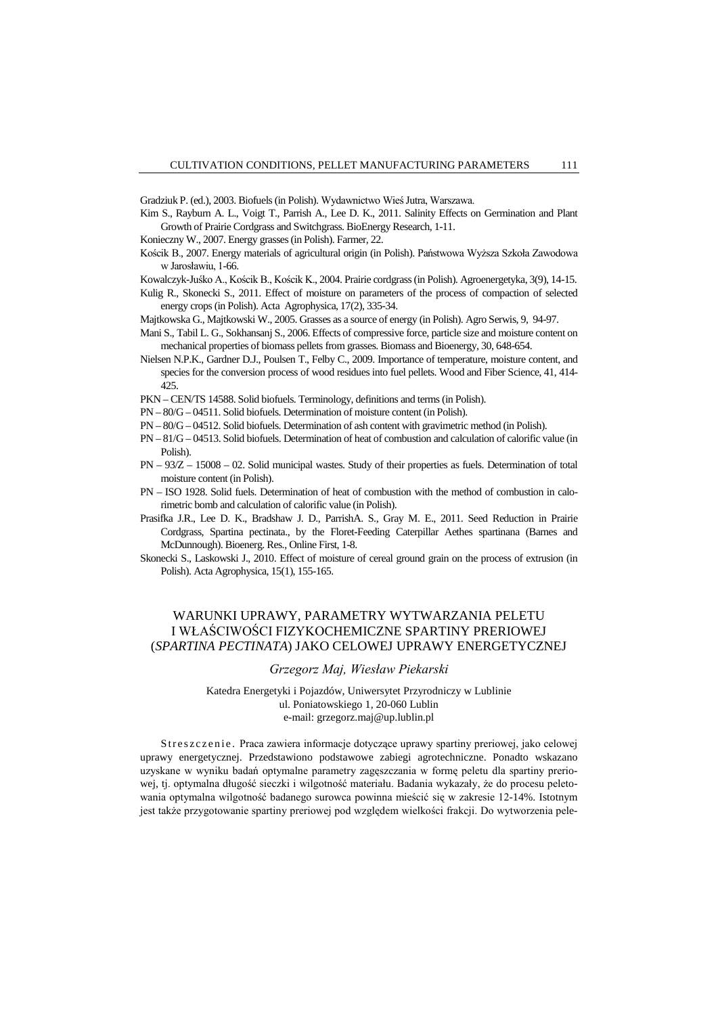Gradziuk P. (ed.), 2003. Biofuels (in Polish). Wydawnictwo Wieś Jutra, Warszawa.

- Kim S., Rayburn A. L., Voigt T., Parrish A., Lee D. K., 2011. Salinity Effects on Germination and Plant Growth of Prairie Cordgrass and Switchgrass. BioEnergy Research, 1-11.
- Konieczny W., 2007. Energy grasses (in Polish). Farmer, 22.
- Kościk B., 2007. Energy materials of agricultural origin (in Polish). Państwowa Wyższa Szkoła Zawodowa w Jarosławiu, 1-66.

Kowalczyk-Juśko A., Kościk B., Kościk K., 2004. Prairie cordgrass (in Polish). Agroenergetyka, 3(9), 14-15.

- Kulig R., Skonecki S., 2011. Effect of moisture on parameters of the process of compaction of selected energy crops (in Polish). Acta Agrophysica, 17(2), 335-34.
- Majtkowska G., Majtkowski W., 2005. Grasses as a source of energy (in Polish). Agro Serwis, 9, 94-97.
- Mani S., Tabil L. G., Sokhansanj S., 2006. Effects of compressive force, particle size and moisture content on mechanical properties of biomass pellets from grasses. Biomass and Bioenergy, 30, 648-654.
- Nielsen N.P.K., Gardner D.J., Poulsen T., Felby C., 2009. Importance of temperature, moisture content, and species for the conversion process of wood residues into fuel pellets. Wood and Fiber Science, 41, 414- 425.
- PKN CEN/TS 14588. Solid biofuels. Terminology, definitions and terms (in Polish).
- PN 80/G 04511. Solid biofuels. Determination of moisture content (in Polish).
- PN 80/G 04512. Solid biofuels. Determination of ash content with gravimetric method (in Polish).
- PN 81/G 04513. Solid biofuels. Determination of heat of combustion and calculation of calorific value (in Polish).
- PN 93/Z 15008 02. Solid municipal wastes. Study of their properties as fuels. Determination of total moisture content (in Polish).
- PN ISO 1928. Solid fuels. Determination of heat of combustion with the method of combustion in calorimetric bomb and calculation of calorific value (in Polish).
- Prasifka J.R., Lee D. K., Bradshaw J. D., ParrishA. S., Gray M. E., 2011. Seed Reduction in Prairie Cordgrass, Spartina pectinata., by the Floret-Feeding Caterpillar Aethes spartinana (Barnes and McDunnough). Bioenerg. Res., Online First, 1-8.
- Skonecki S., Laskowski J., 2010. Effect of moisture of cereal ground grain on the process of extrusion (in Polish). Acta Agrophysica, 15(1), 155-165.

# WARUNKI UPRAWY, PARAMETRY WYTWARZANIA PELETU I WŁAŚCIWOŚCI FIZYKOCHEMICZNE SPARTINY PRERIOWEJ (*SPARTINA PECTINATA*) JAKO CELOWEJ UPRAWY ENERGETYCZNEJ

### *Grzegorz Maj, Wiesław Piekarski*

# Katedra Energetyki i Pojazdów, Uniwersytet Przyrodniczy w Lublinie ul. Poniatowskiego 1, 20-060 Lublin e-mail: grzegorz.maj@up.lublin.pl

Streszczenie. Praca zawiera informacje dotyczące uprawy spartiny preriowej, jako celowej uprawy energetycznej. Przedstawiono podstawowe zabiegi agrotechniczne. Ponadto wskazano uzyskane w wyniku badań optymalne parametry zagęszczania w formę peletu dla spartiny preriowej, tj. optymalna długość sieczki i wilgotność materiału. Badania wykazały, że do procesu peletowania optymalna wilgotność badanego surowca powinna mieścić się w zakresie 12-14%. Istotnym jest także przygotowanie spartiny preriowej pod względem wielkości frakcji. Do wytworzenia pele